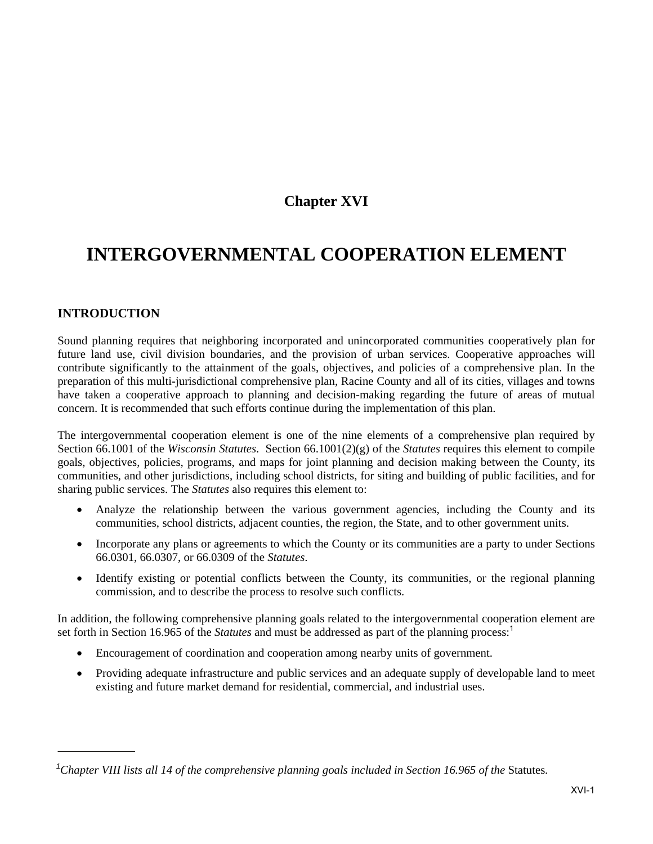# **Chapter XVI**

# **INTERGOVERNMENTAL COOPERATION ELEMENT**

# **INTRODUCTION**

Sound planning requires that neighboring incorporated and unincorporated communities cooperatively plan for future land use, civil division boundaries, and the provision of urban services. Cooperative approaches will contribute significantly to the attainment of the goals, objectives, and policies of a comprehensive plan. In the preparation of this multi-jurisdictional comprehensive plan, Racine County and all of its cities, villages and towns have taken a cooperative approach to planning and decision-making regarding the future of areas of mutual concern. It is recommended that such efforts continue during the implementation of this plan.

The intergovernmental cooperation element is one of the nine elements of a comprehensive plan required by Section 66.1001 of the *Wisconsin Statutes*. Section 66.1001(2)(g) of the *Statutes* requires this element to compile goals, objectives, policies, programs, and maps for joint planning and decision making between the County, its communities, and other jurisdictions, including school districts, for siting and building of public facilities, and for sharing public services. The *Statutes* also requires this element to:

- Analyze the relationship between the various government agencies, including the County and its communities, school districts, adjacent counties, the region, the State, and to other government units.
- Incorporate any plans or agreements to which the County or its communities are a party to under Sections 66.0301, 66.0307, or 66.0309 of the *Statutes*.
- Identify existing or potential conflicts between the County, its communities, or the regional planning commission, and to describe the process to resolve such conflicts.

In addition, the following comprehensive planning goals related to the intergovernmental cooperation element are set forth in Section 16.965 of the *Statutes* and must be addressed as part of the planning process:<sup>1</sup>

- Encouragement of coordination and cooperation among nearby units of government.
- Providing adequate infrastructure and public services and an adequate supply of developable land to meet existing and future market demand for residential, commercial, and industrial uses.

<sup>&</sup>lt;sup>1</sup>Chapter VIII lists all 14 of the comprehensive planning goals included in Section 16.965 of the Statutes.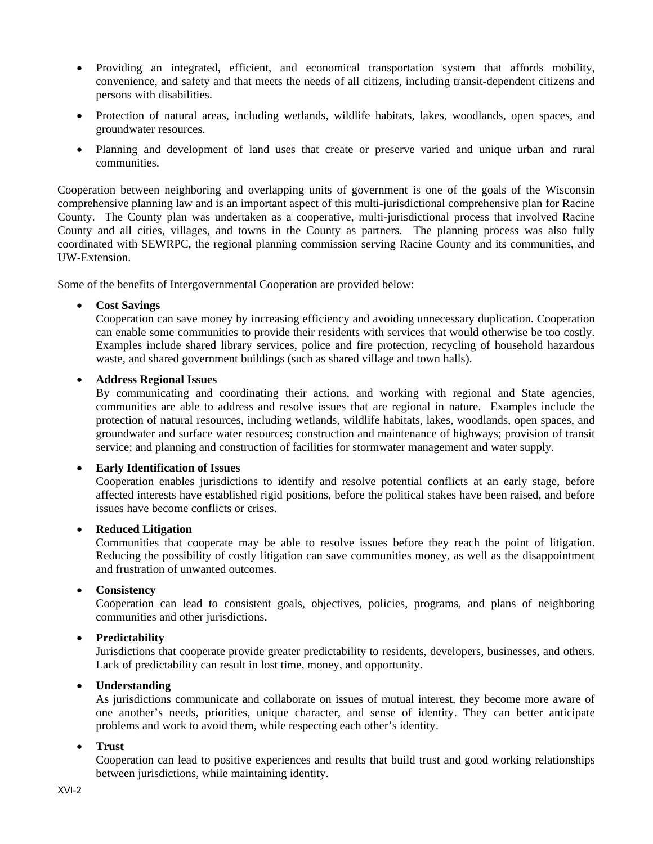- Providing an integrated, efficient, and economical transportation system that affords mobility, convenience, and safety and that meets the needs of all citizens, including transit-dependent citizens and persons with disabilities.
- Protection of natural areas, including wetlands, wildlife habitats, lakes, woodlands, open spaces, and groundwater resources.
- Planning and development of land uses that create or preserve varied and unique urban and rural communities.

Cooperation between neighboring and overlapping units of government is one of the goals of the Wisconsin comprehensive planning law and is an important aspect of this multi-jurisdictional comprehensive plan for Racine County. The County plan was undertaken as a cooperative, multi-jurisdictional process that involved Racine County and all cities, villages, and towns in the County as partners. The planning process was also fully coordinated with SEWRPC, the regional planning commission serving Racine County and its communities, and UW-Extension.

Some of the benefits of Intergovernmental Cooperation are provided below:

#### **Cost Savings**

Cooperation can save money by increasing efficiency and avoiding unnecessary duplication. Cooperation can enable some communities to provide their residents with services that would otherwise be too costly. Examples include shared library services, police and fire protection, recycling of household hazardous waste, and shared government buildings (such as shared village and town halls).

#### **Address Regional Issues**

By communicating and coordinating their actions, and working with regional and State agencies, communities are able to address and resolve issues that are regional in nature. Examples include the protection of natural resources, including wetlands, wildlife habitats, lakes, woodlands, open spaces, and groundwater and surface water resources; construction and maintenance of highways; provision of transit service; and planning and construction of facilities for stormwater management and water supply.

#### **Early Identification of Issues**

Cooperation enables jurisdictions to identify and resolve potential conflicts at an early stage, before affected interests have established rigid positions, before the political stakes have been raised, and before issues have become conflicts or crises.

#### **Reduced Litigation**

Communities that cooperate may be able to resolve issues before they reach the point of litigation. Reducing the possibility of costly litigation can save communities money, as well as the disappointment and frustration of unwanted outcomes.

#### **Consistency**

Cooperation can lead to consistent goals, objectives, policies, programs, and plans of neighboring communities and other jurisdictions.

#### **Predictability**

Jurisdictions that cooperate provide greater predictability to residents, developers, businesses, and others. Lack of predictability can result in lost time, money, and opportunity.

#### **Understanding**

As jurisdictions communicate and collaborate on issues of mutual interest, they become more aware of one another's needs, priorities, unique character, and sense of identity. They can better anticipate problems and work to avoid them, while respecting each other's identity.

#### **Trust**

Cooperation can lead to positive experiences and results that build trust and good working relationships between jurisdictions, while maintaining identity.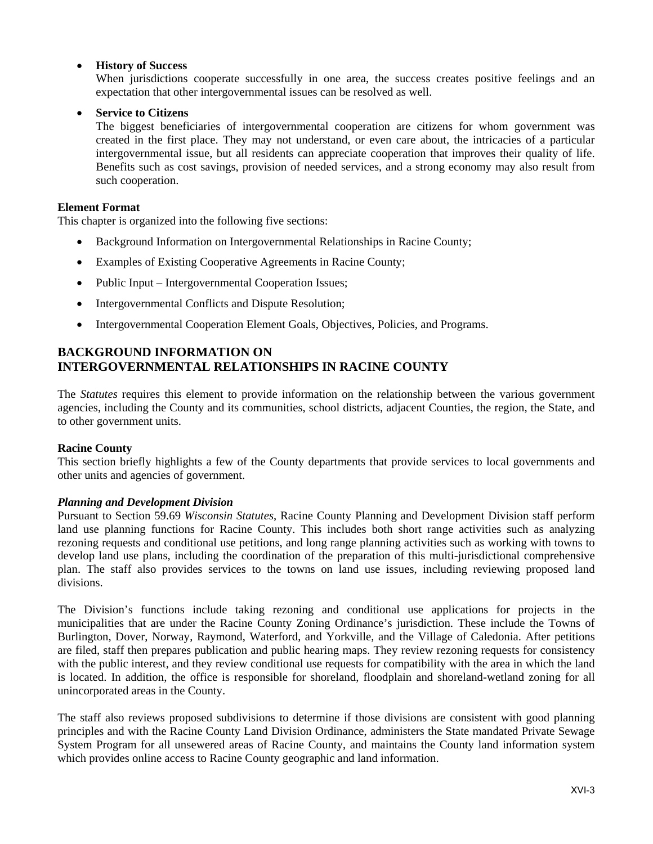#### **History of Success**

When jurisdictions cooperate successfully in one area, the success creates positive feelings and an expectation that other intergovernmental issues can be resolved as well.

### **Service to Citizens**

The biggest beneficiaries of intergovernmental cooperation are citizens for whom government was created in the first place. They may not understand, or even care about, the intricacies of a particular intergovernmental issue, but all residents can appreciate cooperation that improves their quality of life. Benefits such as cost savings, provision of needed services, and a strong economy may also result from such cooperation.

#### **Element Format**

This chapter is organized into the following five sections:

- Background Information on Intergovernmental Relationships in Racine County;
- Examples of Existing Cooperative Agreements in Racine County;
- Public Input Intergovernmental Cooperation Issues;
- Intergovernmental Conflicts and Dispute Resolution;
- Intergovernmental Cooperation Element Goals, Objectives, Policies, and Programs.

# **BACKGROUND INFORMATION ON INTERGOVERNMENTAL RELATIONSHIPS IN RACINE COUNTY**

The *Statutes* requires this element to provide information on the relationship between the various government agencies, including the County and its communities, school districts, adjacent Counties, the region, the State, and to other government units.

#### **Racine County**

This section briefly highlights a few of the County departments that provide services to local governments and other units and agencies of government.

#### *Planning and Development Division*

Pursuant to Section 59.69 *Wisconsin Statutes*, Racine County Planning and Development Division staff perform land use planning functions for Racine County. This includes both short range activities such as analyzing rezoning requests and conditional use petitions, and long range planning activities such as working with towns to develop land use plans, including the coordination of the preparation of this multi-jurisdictional comprehensive plan. The staff also provides services to the towns on land use issues, including reviewing proposed land divisions.

The Division's functions include taking rezoning and conditional use applications for projects in the municipalities that are under the Racine County Zoning Ordinance's jurisdiction. These include the Towns of Burlington, Dover, Norway, Raymond, Waterford, and Yorkville, and the Village of Caledonia. After petitions are filed, staff then prepares publication and public hearing maps. They review rezoning requests for consistency with the public interest, and they review conditional use requests for compatibility with the area in which the land is located. In addition, the office is responsible for shoreland, floodplain and shoreland-wetland zoning for all unincorporated areas in the County.

The staff also reviews proposed subdivisions to determine if those divisions are consistent with good planning principles and with the Racine County Land Division Ordinance, administers the State mandated Private Sewage System Program for all unsewered areas of Racine County, and maintains the County land information system which provides online access to Racine County geographic and land information.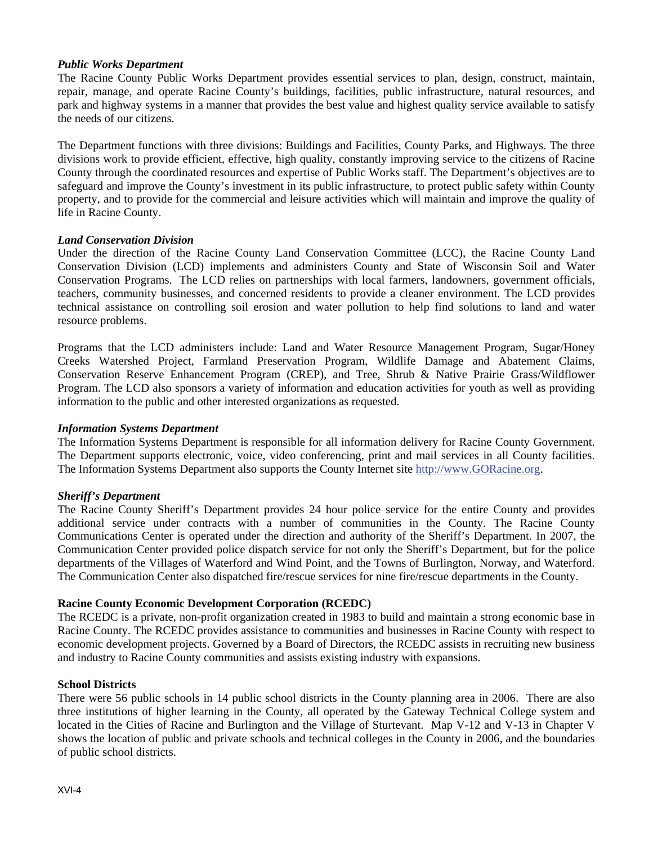#### *Public Works Department*

The Racine County Public Works Department provides essential services to plan, design, construct, maintain, repair, manage, and operate Racine County's buildings, facilities, public infrastructure, natural resources, and park and highway systems in a manner that provides the best value and highest quality service available to satisfy the needs of our citizens.

The Department functions with three divisions: Buildings and Facilities, County Parks, and Highways. The three divisions work to provide efficient, effective, high quality, constantly improving service to the citizens of Racine County through the coordinated resources and expertise of Public Works staff. The Department's objectives are to safeguard and improve the County's investment in its public infrastructure, to protect public safety within County property, and to provide for the commercial and leisure activities which will maintain and improve the quality of life in Racine County.

#### *Land Conservation Division*

Under the direction of the Racine County Land Conservation Committee (LCC), the Racine County Land Conservation Division (LCD) implements and administers County and State of Wisconsin Soil and Water Conservation Programs. The LCD relies on partnerships with local farmers, landowners, government officials, teachers, community businesses, and concerned residents to provide a cleaner environment. The LCD provides technical assistance on controlling soil erosion and water pollution to help find solutions to land and water resource problems.

Programs that the LCD administers include: Land and Water Resource Management Program, Sugar/Honey Creeks Watershed Project, Farmland Preservation Program, Wildlife Damage and Abatement Claims, Conservation Reserve Enhancement Program (CREP), and Tree, Shrub & Native Prairie Grass/Wildflower Program. The LCD also sponsors a variety of information and education activities for youth as well as providing information to the public and other interested organizations as requested.

#### *Information Systems Department*

The Information Systems Department is responsible for all information delivery for Racine County Government. The Department supports electronic, voice, video conferencing, print and mail services in all County facilities. The Information Systems Department also supports the County Internet site http://www.GORacine.org.

#### *Sheriff's Department*

The Racine County Sheriff's Department provides 24 hour police service for the entire County and provides additional service under contracts with a number of communities in the County. The Racine County Communications Center is operated under the direction and authority of the Sheriff's Department. In 2007, the Communication Center provided police dispatch service for not only the Sheriff's Department, but for the police departments of the Villages of Waterford and Wind Point, and the Towns of Burlington, Norway, and Waterford. The Communication Center also dispatched fire/rescue services for nine fire/rescue departments in the County.

#### **Racine County Economic Development Corporation (RCEDC)**

The RCEDC is a private, non-profit organization created in 1983 to build and maintain a strong economic base in Racine County. The RCEDC provides assistance to communities and businesses in Racine County with respect to economic development projects. Governed by a Board of Directors, the RCEDC assists in recruiting new business and industry to Racine County communities and assists existing industry with expansions.

#### **School Districts**

There were 56 public schools in 14 public school districts in the County planning area in 2006. There are also three institutions of higher learning in the County, all operated by the Gateway Technical College system and located in the Cities of Racine and Burlington and the Village of Sturtevant. Map V-12 and V-13 in Chapter V shows the location of public and private schools and technical colleges in the County in 2006, and the boundaries of public school districts.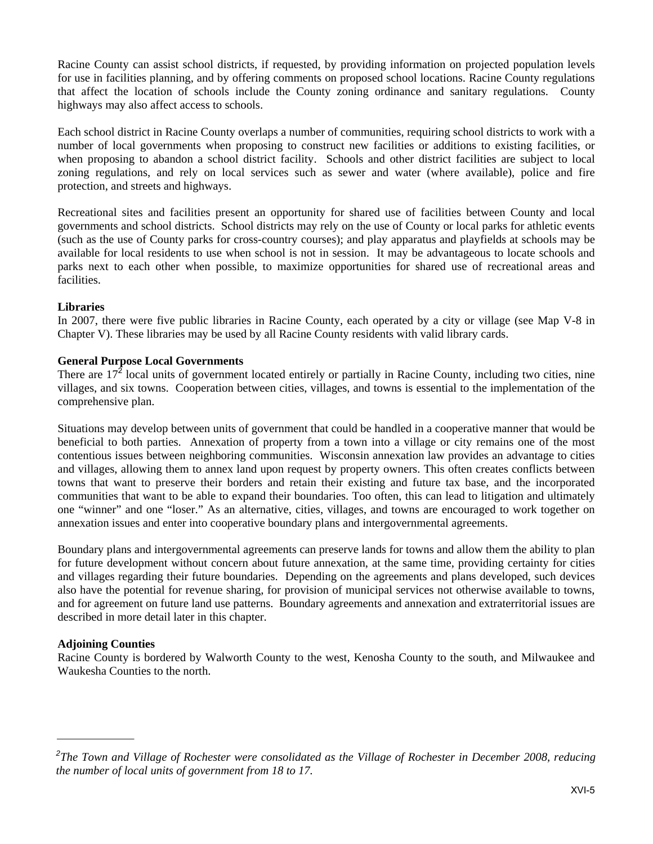Racine County can assist school districts, if requested, by providing information on projected population levels for use in facilities planning, and by offering comments on proposed school locations. Racine County regulations that affect the location of schools include the County zoning ordinance and sanitary regulations. County highways may also affect access to schools.

Each school district in Racine County overlaps a number of communities, requiring school districts to work with a number of local governments when proposing to construct new facilities or additions to existing facilities, or when proposing to abandon a school district facility. Schools and other district facilities are subject to local zoning regulations, and rely on local services such as sewer and water (where available), police and fire protection, and streets and highways.

Recreational sites and facilities present an opportunity for shared use of facilities between County and local governments and school districts. School districts may rely on the use of County or local parks for athletic events (such as the use of County parks for cross-country courses); and play apparatus and playfields at schools may be available for local residents to use when school is not in session. It may be advantageous to locate schools and parks next to each other when possible, to maximize opportunities for shared use of recreational areas and facilities.

#### **Libraries**

In 2007, there were five public libraries in Racine County, each operated by a city or village (see Map V-8 in Chapter V). These libraries may be used by all Racine County residents with valid library cards.

#### **General Purpose Local Governments**

There are  $17^2$  local units of government located entirely or partially in Racine County, including two cities, nine villages, and six towns. Cooperation between cities, villages, and towns is essential to the implementation of the comprehensive plan.

Situations may develop between units of government that could be handled in a cooperative manner that would be beneficial to both parties. Annexation of property from a town into a village or city remains one of the most contentious issues between neighboring communities. Wisconsin annexation law provides an advantage to cities and villages, allowing them to annex land upon request by property owners. This often creates conflicts between towns that want to preserve their borders and retain their existing and future tax base, and the incorporated communities that want to be able to expand their boundaries. Too often, this can lead to litigation and ultimately one "winner" and one "loser." As an alternative, cities, villages, and towns are encouraged to work together on annexation issues and enter into cooperative boundary plans and intergovernmental agreements.

Boundary plans and intergovernmental agreements can preserve lands for towns and allow them the ability to plan for future development without concern about future annexation, at the same time, providing certainty for cities and villages regarding their future boundaries. Depending on the agreements and plans developed, such devices also have the potential for revenue sharing, for provision of municipal services not otherwise available to towns, and for agreement on future land use patterns. Boundary agreements and annexation and extraterritorial issues are described in more detail later in this chapter.

#### **Adjoining Counties**

Racine County is bordered by Walworth County to the west, Kenosha County to the south, and Milwaukee and Waukesha Counties to the north.

*<sup>2</sup> The Town and Village of Rochester were consolidated as the Village of Rochester in December 2008, reducing the number of local units of government from 18 to 17.*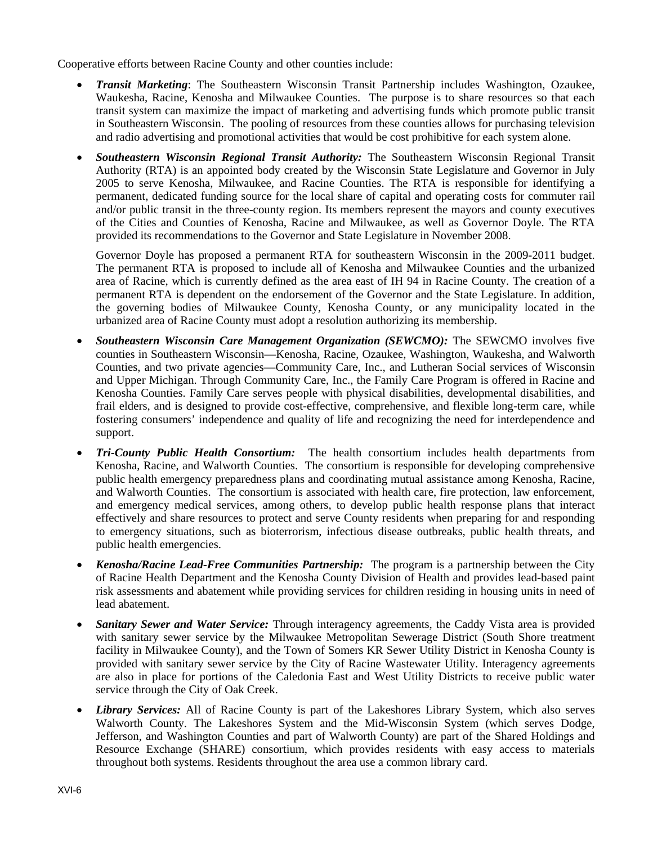Cooperative efforts between Racine County and other counties include:

- *Transit Marketing*: The Southeastern Wisconsin Transit Partnership includes Washington, Ozaukee, Waukesha, Racine, Kenosha and Milwaukee Counties. The purpose is to share resources so that each transit system can maximize the impact of marketing and advertising funds which promote public transit in Southeastern Wisconsin. The pooling of resources from these counties allows for purchasing television and radio advertising and promotional activities that would be cost prohibitive for each system alone.
- *Southeastern Wisconsin Regional Transit Authority:* The Southeastern Wisconsin Regional Transit Authority (RTA) is an appointed body created by the Wisconsin State Legislature and Governor in July 2005 to serve Kenosha, Milwaukee, and Racine Counties. The RTA is responsible for identifying a permanent, dedicated funding source for the local share of capital and operating costs for commuter rail and/or public transit in the three-county region. Its members represent the mayors and county executives of the Cities and Counties of Kenosha, Racine and Milwaukee, as well as Governor Doyle. The RTA provided its recommendations to the Governor and State Legislature in November 2008.

Governor Doyle has proposed a permanent RTA for southeastern Wisconsin in the 2009-2011 budget. The permanent RTA is proposed to include all of Kenosha and Milwaukee Counties and the urbanized area of Racine, which is currently defined as the area east of IH 94 in Racine County. The creation of a permanent RTA is dependent on the endorsement of the Governor and the State Legislature. In addition, the governing bodies of Milwaukee County, Kenosha County, or any municipality located in the urbanized area of Racine County must adopt a resolution authorizing its membership.

- *Southeastern Wisconsin Care Management Organization (SEWCMO):* The SEWCMO involves five counties in Southeastern Wisconsin—Kenosha, Racine, Ozaukee, Washington, Waukesha, and Walworth Counties, and two private agencies—Community Care, Inc., and Lutheran Social services of Wisconsin and Upper Michigan. Through Community Care, Inc., the Family Care Program is offered in Racine and Kenosha Counties. Family Care serves people with physical disabilities, developmental disabilities, and frail elders, and is designed to provide cost-effective, comprehensive, and flexible long-term care, while fostering consumers' independence and quality of life and recognizing the need for interdependence and support.
- *Tri-County Public Health Consortium:* The health consortium includes health departments from Kenosha, Racine, and Walworth Counties. The consortium is responsible for developing comprehensive public health emergency preparedness plans and coordinating mutual assistance among Kenosha, Racine, and Walworth Counties. The consortium is associated with health care, fire protection, law enforcement, and emergency medical services, among others, to develop public health response plans that interact effectively and share resources to protect and serve County residents when preparing for and responding to emergency situations, such as bioterrorism, infectious disease outbreaks, public health threats, and public health emergencies.
- *Kenosha/Racine Lead-Free Communities Partnership:* The program is a partnership between the City of Racine Health Department and the Kenosha County Division of Health and provides lead-based paint risk assessments and abatement while providing services for children residing in housing units in need of lead abatement.
- *Sanitary Sewer and Water Service:* Through interagency agreements, the Caddy Vista area is provided with sanitary sewer service by the Milwaukee Metropolitan Sewerage District (South Shore treatment facility in Milwaukee County), and the Town of Somers KR Sewer Utility District in Kenosha County is provided with sanitary sewer service by the City of Racine Wastewater Utility. Interagency agreements are also in place for portions of the Caledonia East and West Utility Districts to receive public water service through the City of Oak Creek.
- *Library Services:* All of Racine County is part of the Lakeshores Library System, which also serves Walworth County. The Lakeshores System and the Mid-Wisconsin System (which serves Dodge, Jefferson, and Washington Counties and part of Walworth County) are part of the Shared Holdings and Resource Exchange (SHARE) consortium, which provides residents with easy access to materials throughout both systems. Residents throughout the area use a common library card.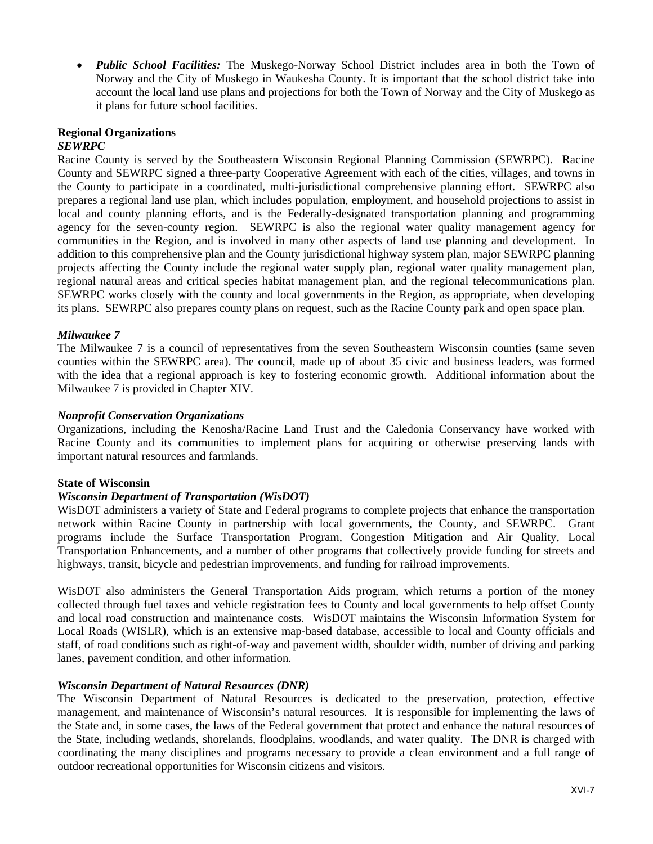*Public School Facilities:* The Muskego-Norway School District includes area in both the Town of Norway and the City of Muskego in Waukesha County. It is important that the school district take into account the local land use plans and projections for both the Town of Norway and the City of Muskego as it plans for future school facilities.

#### **Regional Organizations**  *SEWRPC*

Racine County is served by the Southeastern Wisconsin Regional Planning Commission (SEWRPC). Racine County and SEWRPC signed a three-party Cooperative Agreement with each of the cities, villages, and towns in the County to participate in a coordinated, multi-jurisdictional comprehensive planning effort. SEWRPC also prepares a regional land use plan, which includes population, employment, and household projections to assist in local and county planning efforts, and is the Federally-designated transportation planning and programming agency for the seven-county region. SEWRPC is also the regional water quality management agency for communities in the Region, and is involved in many other aspects of land use planning and development. In addition to this comprehensive plan and the County jurisdictional highway system plan, major SEWRPC planning projects affecting the County include the regional water supply plan, regional water quality management plan, regional natural areas and critical species habitat management plan, and the regional telecommunications plan. SEWRPC works closely with the county and local governments in the Region, as appropriate, when developing its plans. SEWRPC also prepares county plans on request, such as the Racine County park and open space plan.

#### *Milwaukee 7*

The Milwaukee 7 is a council of representatives from the seven Southeastern Wisconsin counties (same seven counties within the SEWRPC area). The council, made up of about 35 civic and business leaders, was formed with the idea that a regional approach is key to fostering economic growth. Additional information about the Milwaukee 7 is provided in Chapter XIV.

#### *Nonprofit Conservation Organizations*

Organizations, including the Kenosha/Racine Land Trust and the Caledonia Conservancy have worked with Racine County and its communities to implement plans for acquiring or otherwise preserving lands with important natural resources and farmlands.

#### **State of Wisconsin**

#### *Wisconsin Department of Transportation (WisDOT)*

WisDOT administers a variety of State and Federal programs to complete projects that enhance the transportation network within Racine County in partnership with local governments, the County, and SEWRPC. Grant programs include the Surface Transportation Program, Congestion Mitigation and Air Quality, Local Transportation Enhancements, and a number of other programs that collectively provide funding for streets and highways, transit, bicycle and pedestrian improvements, and funding for railroad improvements.

WisDOT also administers the General Transportation Aids program, which returns a portion of the money collected through fuel taxes and vehicle registration fees to County and local governments to help offset County and local road construction and maintenance costs. WisDOT maintains the Wisconsin Information System for Local Roads (WISLR), which is an extensive map-based database, accessible to local and County officials and staff, of road conditions such as right-of-way and pavement width, shoulder width, number of driving and parking lanes, pavement condition, and other information.

#### *Wisconsin Department of Natural Resources (DNR)*

The Wisconsin Department of Natural Resources is dedicated to the preservation, protection, effective management, and maintenance of Wisconsin's natural resources. It is responsible for implementing the laws of the State and, in some cases, the laws of the Federal government that protect and enhance the natural resources of the State, including wetlands, shorelands, floodplains, woodlands, and water quality. The DNR is charged with coordinating the many disciplines and programs necessary to provide a clean environment and a full range of outdoor recreational opportunities for Wisconsin citizens and visitors.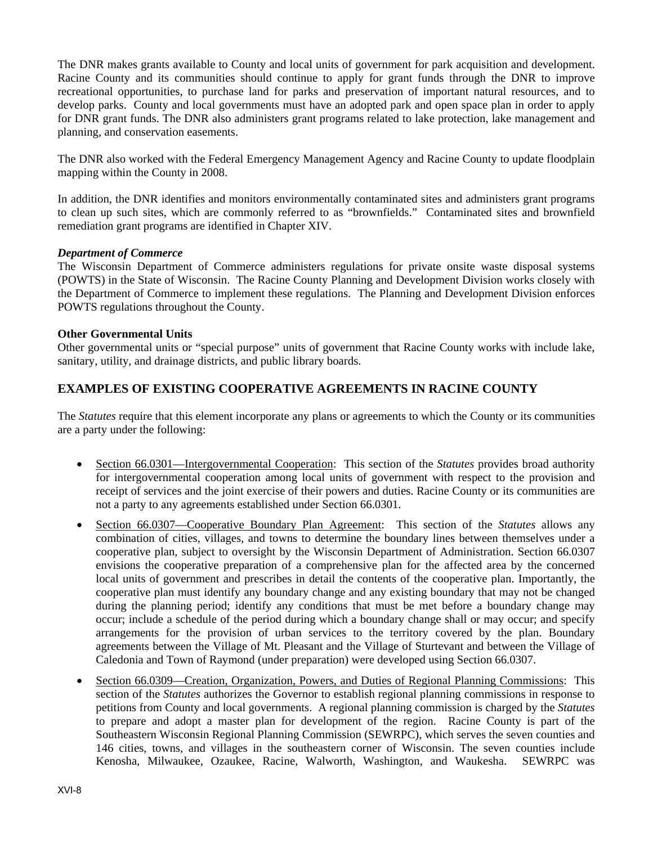The DNR makes grants available to County and local units of government for park acquisition and development. Racine County and its communities should continue to apply for grant funds through the DNR to improve recreational opportunities, to purchase land for parks and preservation of important natural resources, and to develop parks. County and local governments must have an adopted park and open space plan in order to apply for DNR grant funds. The DNR also administers grant programs related to lake protection, lake management and planning, and conservation easements.

The DNR also worked with the Federal Emergency Management Agency and Racine County to update floodplain mapping within the County in 2008.

In addition, the DNR identifies and monitors environmentally contaminated sites and administers grant programs to clean up such sites, which are commonly referred to as "brownfields." Contaminated sites and brownfield remediation grant programs are identified in Chapter XIV.

#### *Department of Commerce*

The Wisconsin Department of Commerce administers regulations for private onsite waste disposal systems (POWTS) in the State of Wisconsin. The Racine County Planning and Development Division works closely with the Department of Commerce to implement these regulations. The Planning and Development Division enforces POWTS regulations throughout the County.

#### **Other Governmental Units**

Other governmental units or "special purpose" units of government that Racine County works with include lake, sanitary, utility, and drainage districts, and public library boards.

# **EXAMPLES OF EXISTING COOPERATIVE AGREEMENTS IN RACINE COUNTY**

The *Statutes* require that this element incorporate any plans or agreements to which the County or its communities are a party under the following:

- Section 66.0301—Intergovernmental Cooperation: This section of the *Statutes* provides broad authority for intergovernmental cooperation among local units of government with respect to the provision and receipt of services and the joint exercise of their powers and duties. Racine County or its communities are not a party to any agreements established under Section 66.0301.
- Section 66.0307—Cooperative Boundary Plan Agreement: This section of the *Statutes* allows any combination of cities, villages, and towns to determine the boundary lines between themselves under a cooperative plan, subject to oversight by the Wisconsin Department of Administration. Section 66.0307 envisions the cooperative preparation of a comprehensive plan for the affected area by the concerned local units of government and prescribes in detail the contents of the cooperative plan. Importantly, the cooperative plan must identify any boundary change and any existing boundary that may not be changed during the planning period; identify any conditions that must be met before a boundary change may occur; include a schedule of the period during which a boundary change shall or may occur; and specify arrangements for the provision of urban services to the territory covered by the plan. Boundary agreements between the Village of Mt. Pleasant and the Village of Sturtevant and between the Village of Caledonia and Town of Raymond (under preparation) were developed using Section 66.0307.
- Section 66.0309—Creation, Organization, Powers, and Duties of Regional Planning Commissions: This section of the *Statutes* authorizes the Governor to establish regional planning commissions in response to petitions from County and local governments. A regional planning commission is charged by the *Statutes* to prepare and adopt a master plan for development of the region. Racine County is part of the Southeastern Wisconsin Regional Planning Commission (SEWRPC), which serves the seven counties and 146 cities, towns, and villages in the southeastern corner of Wisconsin. The seven counties include Kenosha, Milwaukee, Ozaukee, Racine, Walworth, Washington, and Waukesha. SEWRPC was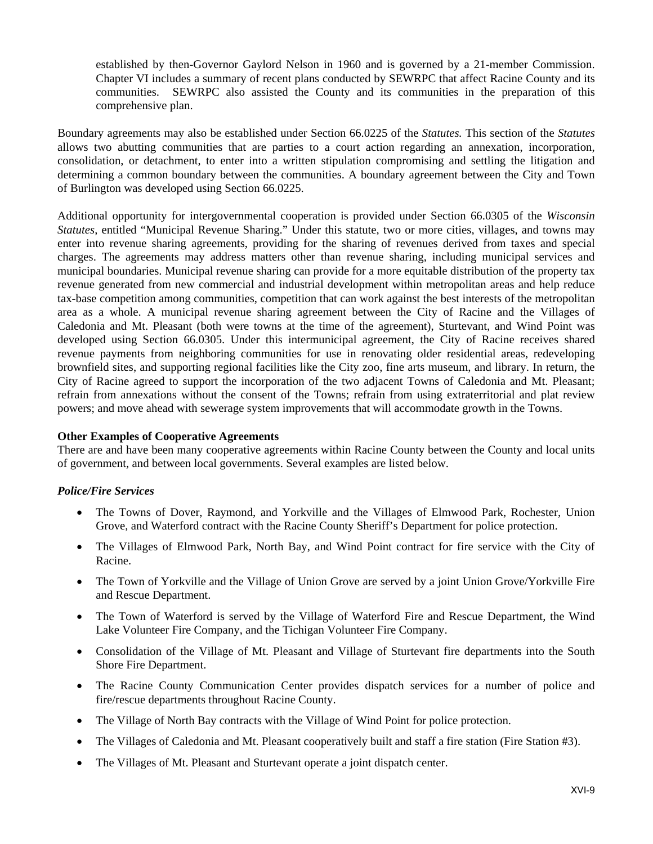established by then-Governor Gaylord Nelson in 1960 and is governed by a 21-member Commission. Chapter VI includes a summary of recent plans conducted by SEWRPC that affect Racine County and its communities. SEWRPC also assisted the County and its communities in the preparation of this comprehensive plan.

Boundary agreements may also be established under Section 66.0225 of the *Statutes.* This section of the *Statutes*  allows two abutting communities that are parties to a court action regarding an annexation, incorporation, consolidation, or detachment, to enter into a written stipulation compromising and settling the litigation and determining a common boundary between the communities. A boundary agreement between the City and Town of Burlington was developed using Section 66.0225.

Additional opportunity for intergovernmental cooperation is provided under Section 66.0305 of the *Wisconsin Statutes*, entitled "Municipal Revenue Sharing." Under this statute, two or more cities, villages, and towns may enter into revenue sharing agreements, providing for the sharing of revenues derived from taxes and special charges. The agreements may address matters other than revenue sharing, including municipal services and municipal boundaries. Municipal revenue sharing can provide for a more equitable distribution of the property tax revenue generated from new commercial and industrial development within metropolitan areas and help reduce tax-base competition among communities, competition that can work against the best interests of the metropolitan area as a whole. A municipal revenue sharing agreement between the City of Racine and the Villages of Caledonia and Mt. Pleasant (both were towns at the time of the agreement), Sturtevant, and Wind Point was developed using Section 66.0305. Under this intermunicipal agreement, the City of Racine receives shared revenue payments from neighboring communities for use in renovating older residential areas, redeveloping brownfield sites, and supporting regional facilities like the City zoo, fine arts museum, and library. In return, the City of Racine agreed to support the incorporation of the two adjacent Towns of Caledonia and Mt. Pleasant; refrain from annexations without the consent of the Towns; refrain from using extraterritorial and plat review powers; and move ahead with sewerage system improvements that will accommodate growth in the Towns.

#### **Other Examples of Cooperative Agreements**

There are and have been many cooperative agreements within Racine County between the County and local units of government, and between local governments. Several examples are listed below.

#### *Police/Fire Services*

- The Towns of Dover, Raymond, and Yorkville and the Villages of Elmwood Park, Rochester, Union Grove, and Waterford contract with the Racine County Sheriff's Department for police protection.
- The Villages of Elmwood Park, North Bay, and Wind Point contract for fire service with the City of Racine.
- The Town of Yorkville and the Village of Union Grove are served by a joint Union Grove/Yorkville Fire and Rescue Department.
- The Town of Waterford is served by the Village of Waterford Fire and Rescue Department, the Wind Lake Volunteer Fire Company, and the Tichigan Volunteer Fire Company.
- Consolidation of the Village of Mt. Pleasant and Village of Sturtevant fire departments into the South Shore Fire Department.
- The Racine County Communication Center provides dispatch services for a number of police and fire/rescue departments throughout Racine County.
- The Village of North Bay contracts with the Village of Wind Point for police protection.
- The Villages of Caledonia and Mt. Pleasant cooperatively built and staff a fire station (Fire Station #3).
- The Villages of Mt. Pleasant and Sturtevant operate a joint dispatch center.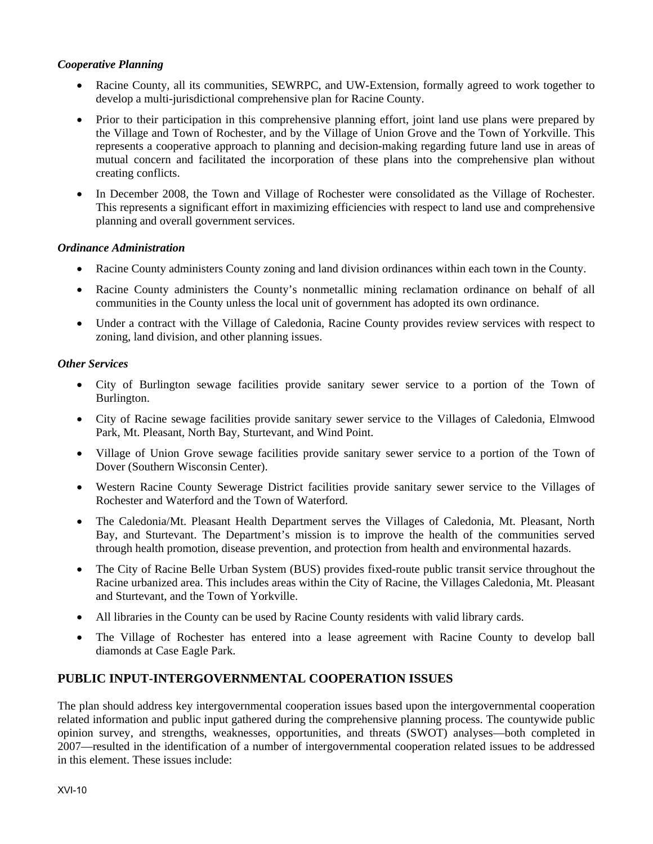### *Cooperative Planning*

- Racine County, all its communities, SEWRPC, and UW-Extension, formally agreed to work together to develop a multi-jurisdictional comprehensive plan for Racine County.
- Prior to their participation in this comprehensive planning effort, joint land use plans were prepared by the Village and Town of Rochester, and by the Village of Union Grove and the Town of Yorkville. This represents a cooperative approach to planning and decision-making regarding future land use in areas of mutual concern and facilitated the incorporation of these plans into the comprehensive plan without creating conflicts.
- In December 2008, the Town and Village of Rochester were consolidated as the Village of Rochester. This represents a significant effort in maximizing efficiencies with respect to land use and comprehensive planning and overall government services.

#### *Ordinance Administration*

- Racine County administers County zoning and land division ordinances within each town in the County.
- Racine County administers the County's nonmetallic mining reclamation ordinance on behalf of all communities in the County unless the local unit of government has adopted its own ordinance.
- Under a contract with the Village of Caledonia, Racine County provides review services with respect to zoning, land division, and other planning issues.

#### *Other Services*

- City of Burlington sewage facilities provide sanitary sewer service to a portion of the Town of Burlington.
- City of Racine sewage facilities provide sanitary sewer service to the Villages of Caledonia, Elmwood Park, Mt. Pleasant, North Bay, Sturtevant, and Wind Point.
- Village of Union Grove sewage facilities provide sanitary sewer service to a portion of the Town of Dover (Southern Wisconsin Center).
- Western Racine County Sewerage District facilities provide sanitary sewer service to the Villages of Rochester and Waterford and the Town of Waterford.
- The Caledonia/Mt. Pleasant Health Department serves the Villages of Caledonia, Mt. Pleasant, North Bay, and Sturtevant. The Department's mission is to improve the health of the communities served through health promotion, disease prevention, and protection from health and environmental hazards.
- The City of Racine Belle Urban System (BUS) provides fixed-route public transit service throughout the Racine urbanized area. This includes areas within the City of Racine, the Villages Caledonia, Mt. Pleasant and Sturtevant, and the Town of Yorkville.
- All libraries in the County can be used by Racine County residents with valid library cards.
- The Village of Rochester has entered into a lease agreement with Racine County to develop ball diamonds at Case Eagle Park.

# **PUBLIC INPUT-INTERGOVERNMENTAL COOPERATION ISSUES**

The plan should address key intergovernmental cooperation issues based upon the intergovernmental cooperation related information and public input gathered during the comprehensive planning process. The countywide public opinion survey, and strengths, weaknesses, opportunities, and threats (SWOT) analyses—both completed in 2007—resulted in the identification of a number of intergovernmental cooperation related issues to be addressed in this element. These issues include: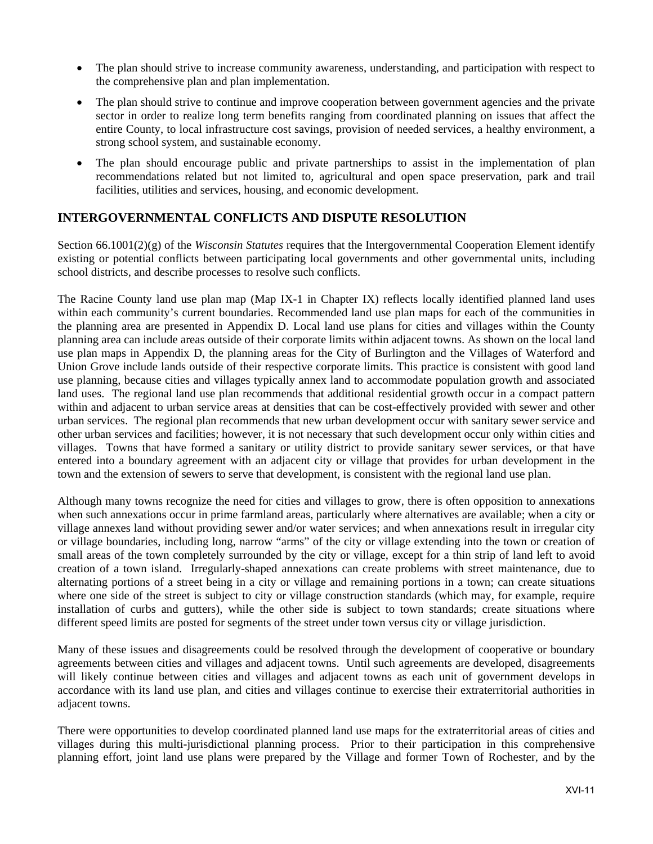- The plan should strive to increase community awareness, understanding, and participation with respect to the comprehensive plan and plan implementation.
- The plan should strive to continue and improve cooperation between government agencies and the private sector in order to realize long term benefits ranging from coordinated planning on issues that affect the entire County, to local infrastructure cost savings, provision of needed services, a healthy environment, a strong school system, and sustainable economy.
- The plan should encourage public and private partnerships to assist in the implementation of plan recommendations related but not limited to, agricultural and open space preservation, park and trail facilities, utilities and services, housing, and economic development.

# **INTERGOVERNMENTAL CONFLICTS AND DISPUTE RESOLUTION**

Section 66.1001(2)(g) of the *Wisconsin Statutes* requires that the Intergovernmental Cooperation Element identify existing or potential conflicts between participating local governments and other governmental units, including school districts, and describe processes to resolve such conflicts.

The Racine County land use plan map (Map IX-1 in Chapter IX) reflects locally identified planned land uses within each community's current boundaries. Recommended land use plan maps for each of the communities in the planning area are presented in Appendix D. Local land use plans for cities and villages within the County planning area can include areas outside of their corporate limits within adjacent towns. As shown on the local land use plan maps in Appendix D, the planning areas for the City of Burlington and the Villages of Waterford and Union Grove include lands outside of their respective corporate limits. This practice is consistent with good land use planning, because cities and villages typically annex land to accommodate population growth and associated land uses. The regional land use plan recommends that additional residential growth occur in a compact pattern within and adjacent to urban service areas at densities that can be cost-effectively provided with sewer and other urban services. The regional plan recommends that new urban development occur with sanitary sewer service and other urban services and facilities; however, it is not necessary that such development occur only within cities and villages. Towns that have formed a sanitary or utility district to provide sanitary sewer services, or that have entered into a boundary agreement with an adjacent city or village that provides for urban development in the town and the extension of sewers to serve that development, is consistent with the regional land use plan.

Although many towns recognize the need for cities and villages to grow, there is often opposition to annexations when such annexations occur in prime farmland areas, particularly where alternatives are available; when a city or village annexes land without providing sewer and/or water services; and when annexations result in irregular city or village boundaries, including long, narrow "arms" of the city or village extending into the town or creation of small areas of the town completely surrounded by the city or village, except for a thin strip of land left to avoid creation of a town island. Irregularly-shaped annexations can create problems with street maintenance, due to alternating portions of a street being in a city or village and remaining portions in a town; can create situations where one side of the street is subject to city or village construction standards (which may, for example, require installation of curbs and gutters), while the other side is subject to town standards; create situations where different speed limits are posted for segments of the street under town versus city or village jurisdiction.

Many of these issues and disagreements could be resolved through the development of cooperative or boundary agreements between cities and villages and adjacent towns. Until such agreements are developed, disagreements will likely continue between cities and villages and adjacent towns as each unit of government develops in accordance with its land use plan, and cities and villages continue to exercise their extraterritorial authorities in adjacent towns.

There were opportunities to develop coordinated planned land use maps for the extraterritorial areas of cities and villages during this multi-jurisdictional planning process. Prior to their participation in this comprehensive planning effort, joint land use plans were prepared by the Village and former Town of Rochester, and by the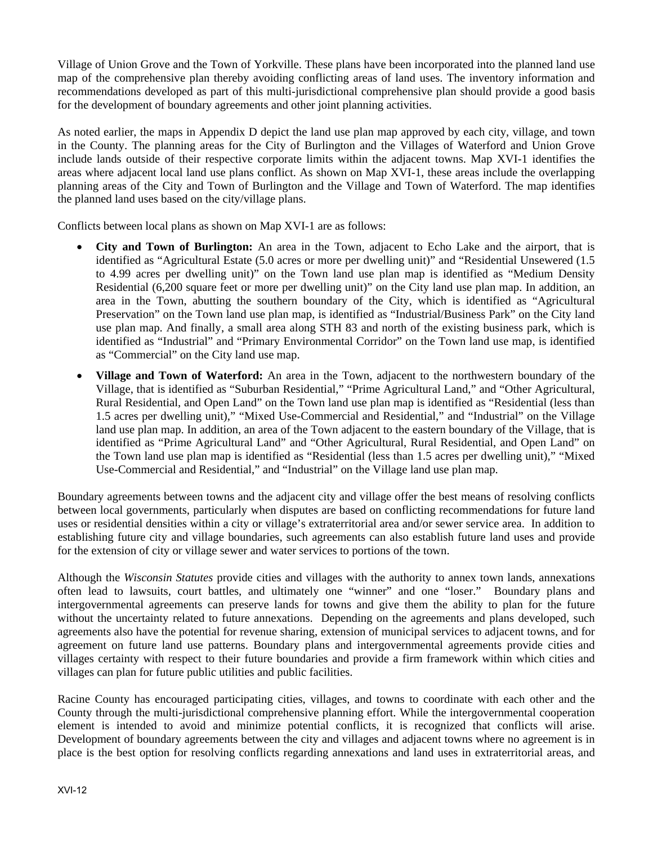Village of Union Grove and the Town of Yorkville. These plans have been incorporated into the planned land use map of the comprehensive plan thereby avoiding conflicting areas of land uses. The inventory information and recommendations developed as part of this multi-jurisdictional comprehensive plan should provide a good basis for the development of boundary agreements and other joint planning activities.

As noted earlier, the maps in Appendix D depict the land use plan map approved by each city, village, and town in the County. The planning areas for the City of Burlington and the Villages of Waterford and Union Grove include lands outside of their respective corporate limits within the adjacent towns. Map XVI-1 identifies the areas where adjacent local land use plans conflict. As shown on Map XVI-1, these areas include the overlapping planning areas of the City and Town of Burlington and the Village and Town of Waterford. The map identifies the planned land uses based on the city/village plans.

Conflicts between local plans as shown on Map XVI-1 are as follows:

- **City and Town of Burlington:** An area in the Town, adjacent to Echo Lake and the airport, that is identified as "Agricultural Estate (5.0 acres or more per dwelling unit)" and "Residential Unsewered (1.5 to 4.99 acres per dwelling unit)" on the Town land use plan map is identified as "Medium Density Residential (6,200 square feet or more per dwelling unit)" on the City land use plan map. In addition, an area in the Town, abutting the southern boundary of the City, which is identified as "Agricultural Preservation" on the Town land use plan map, is identified as "Industrial/Business Park" on the City land use plan map. And finally, a small area along STH 83 and north of the existing business park, which is identified as "Industrial" and "Primary Environmental Corridor" on the Town land use map, is identified as "Commercial" on the City land use map.
- **Village and Town of Waterford:** An area in the Town, adjacent to the northwestern boundary of the Village, that is identified as "Suburban Residential," "Prime Agricultural Land," and "Other Agricultural, Rural Residential, and Open Land" on the Town land use plan map is identified as "Residential (less than 1.5 acres per dwelling unit)," "Mixed Use-Commercial and Residential," and "Industrial" on the Village land use plan map. In addition, an area of the Town adjacent to the eastern boundary of the Village, that is identified as "Prime Agricultural Land" and "Other Agricultural, Rural Residential, and Open Land" on the Town land use plan map is identified as "Residential (less than 1.5 acres per dwelling unit)," "Mixed Use-Commercial and Residential," and "Industrial" on the Village land use plan map.

Boundary agreements between towns and the adjacent city and village offer the best means of resolving conflicts between local governments, particularly when disputes are based on conflicting recommendations for future land uses or residential densities within a city or village's extraterritorial area and/or sewer service area. In addition to establishing future city and village boundaries, such agreements can also establish future land uses and provide for the extension of city or village sewer and water services to portions of the town.

Although the *Wisconsin Statutes* provide cities and villages with the authority to annex town lands, annexations often lead to lawsuits, court battles, and ultimately one "winner" and one "loser." Boundary plans and intergovernmental agreements can preserve lands for towns and give them the ability to plan for the future without the uncertainty related to future annexations. Depending on the agreements and plans developed, such agreements also have the potential for revenue sharing, extension of municipal services to adjacent towns, and for agreement on future land use patterns. Boundary plans and intergovernmental agreements provide cities and villages certainty with respect to their future boundaries and provide a firm framework within which cities and villages can plan for future public utilities and public facilities.

Racine County has encouraged participating cities, villages, and towns to coordinate with each other and the County through the multi-jurisdictional comprehensive planning effort. While the intergovernmental cooperation element is intended to avoid and minimize potential conflicts, it is recognized that conflicts will arise. Development of boundary agreements between the city and villages and adjacent towns where no agreement is in place is the best option for resolving conflicts regarding annexations and land uses in extraterritorial areas, and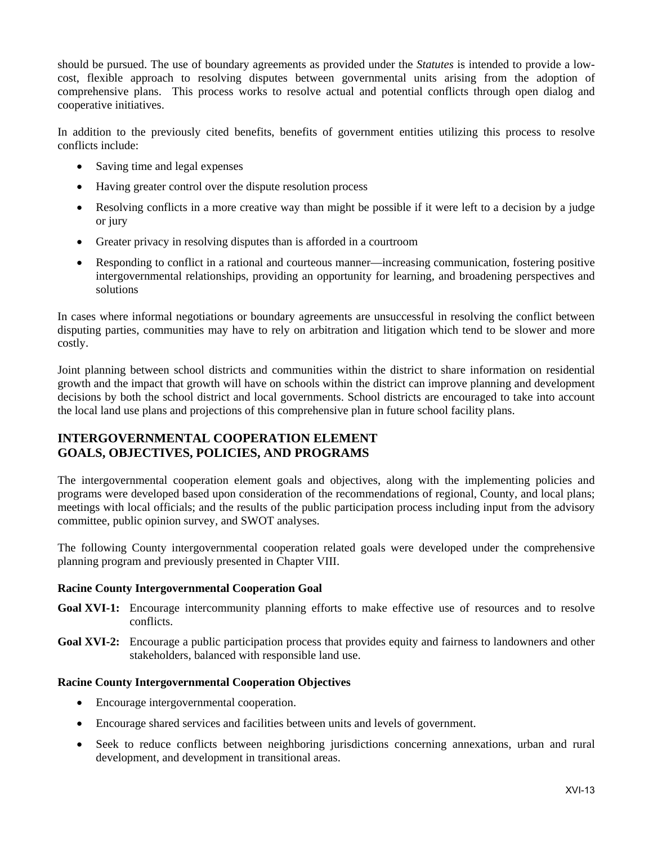should be pursued. The use of boundary agreements as provided under the *Statutes* is intended to provide a lowcost, flexible approach to resolving disputes between governmental units arising from the adoption of comprehensive plans. This process works to resolve actual and potential conflicts through open dialog and cooperative initiatives.

In addition to the previously cited benefits, benefits of government entities utilizing this process to resolve conflicts include:

- Saving time and legal expenses
- Having greater control over the dispute resolution process
- Resolving conflicts in a more creative way than might be possible if it were left to a decision by a judge or jury
- Greater privacy in resolving disputes than is afforded in a courtroom
- Responding to conflict in a rational and courteous manner—increasing communication, fostering positive intergovernmental relationships, providing an opportunity for learning, and broadening perspectives and solutions

In cases where informal negotiations or boundary agreements are unsuccessful in resolving the conflict between disputing parties, communities may have to rely on arbitration and litigation which tend to be slower and more costly.

Joint planning between school districts and communities within the district to share information on residential growth and the impact that growth will have on schools within the district can improve planning and development decisions by both the school district and local governments. School districts are encouraged to take into account the local land use plans and projections of this comprehensive plan in future school facility plans.

# **INTERGOVERNMENTAL COOPERATION ELEMENT GOALS, OBJECTIVES, POLICIES, AND PROGRAMS**

The intergovernmental cooperation element goals and objectives, along with the implementing policies and programs were developed based upon consideration of the recommendations of regional, County, and local plans; meetings with local officials; and the results of the public participation process including input from the advisory committee, public opinion survey, and SWOT analyses.

The following County intergovernmental cooperation related goals were developed under the comprehensive planning program and previously presented in Chapter VIII.

#### **Racine County Intergovernmental Cooperation Goal**

- Goal XVI-1: Encourage intercommunity planning efforts to make effective use of resources and to resolve conflicts.
- **Goal XVI-2:** Encourage a public participation process that provides equity and fairness to landowners and other stakeholders, balanced with responsible land use.

#### **Racine County Intergovernmental Cooperation Objectives**

- Encourage intergovernmental cooperation.
- Encourage shared services and facilities between units and levels of government.
- Seek to reduce conflicts between neighboring jurisdictions concerning annexations, urban and rural development, and development in transitional areas.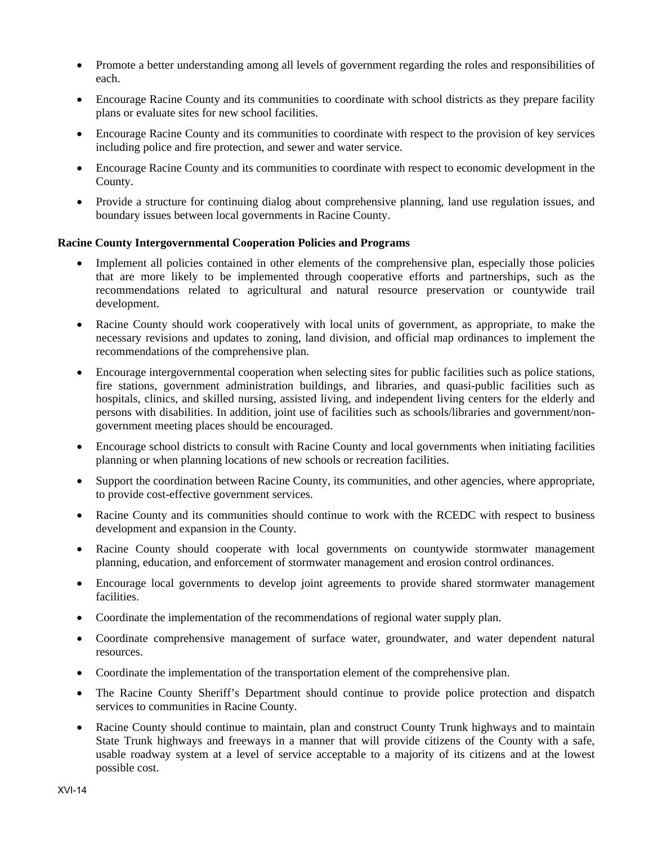- Promote a better understanding among all levels of government regarding the roles and responsibilities of each.
- Encourage Racine County and its communities to coordinate with school districts as they prepare facility plans or evaluate sites for new school facilities.
- Encourage Racine County and its communities to coordinate with respect to the provision of key services including police and fire protection, and sewer and water service.
- Encourage Racine County and its communities to coordinate with respect to economic development in the County.
- Provide a structure for continuing dialog about comprehensive planning, land use regulation issues, and boundary issues between local governments in Racine County.

#### **Racine County Intergovernmental Cooperation Policies and Programs**

- Implement all policies contained in other elements of the comprehensive plan, especially those policies that are more likely to be implemented through cooperative efforts and partnerships, such as the recommendations related to agricultural and natural resource preservation or countywide trail development.
- Racine County should work cooperatively with local units of government, as appropriate, to make the necessary revisions and updates to zoning, land division, and official map ordinances to implement the recommendations of the comprehensive plan.
- Encourage intergovernmental cooperation when selecting sites for public facilities such as police stations, fire stations, government administration buildings, and libraries, and quasi-public facilities such as hospitals, clinics, and skilled nursing, assisted living, and independent living centers for the elderly and persons with disabilities. In addition, joint use of facilities such as schools/libraries and government/nongovernment meeting places should be encouraged.
- Encourage school districts to consult with Racine County and local governments when initiating facilities planning or when planning locations of new schools or recreation facilities.
- Support the coordination between Racine County, its communities, and other agencies, where appropriate, to provide cost-effective government services.
- Racine County and its communities should continue to work with the RCEDC with respect to business development and expansion in the County.
- Racine County should cooperate with local governments on countywide stormwater management planning, education, and enforcement of stormwater management and erosion control ordinances.
- Encourage local governments to develop joint agreements to provide shared stormwater management facilities.
- Coordinate the implementation of the recommendations of regional water supply plan.
- Coordinate comprehensive management of surface water, groundwater, and water dependent natural resources.
- Coordinate the implementation of the transportation element of the comprehensive plan.
- The Racine County Sheriff's Department should continue to provide police protection and dispatch services to communities in Racine County.
- Racine County should continue to maintain, plan and construct County Trunk highways and to maintain State Trunk highways and freeways in a manner that will provide citizens of the County with a safe, usable roadway system at a level of service acceptable to a majority of its citizens and at the lowest possible cost.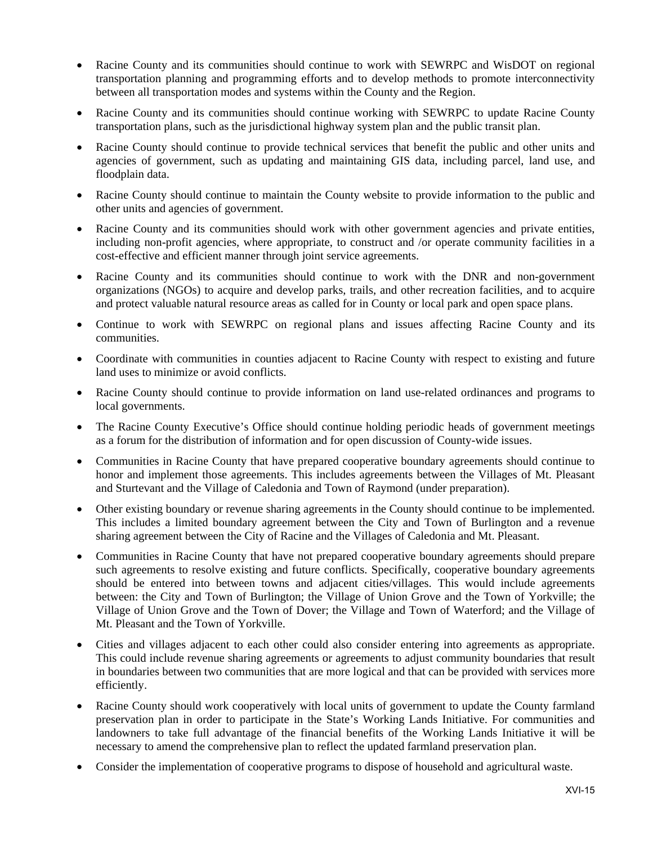- Racine County and its communities should continue to work with SEWRPC and WisDOT on regional transportation planning and programming efforts and to develop methods to promote interconnectivity between all transportation modes and systems within the County and the Region.
- Racine County and its communities should continue working with SEWRPC to update Racine County transportation plans, such as the jurisdictional highway system plan and the public transit plan.
- Racine County should continue to provide technical services that benefit the public and other units and agencies of government, such as updating and maintaining GIS data, including parcel, land use, and floodplain data.
- Racine County should continue to maintain the County website to provide information to the public and other units and agencies of government.
- Racine County and its communities should work with other government agencies and private entities, including non-profit agencies, where appropriate, to construct and /or operate community facilities in a cost-effective and efficient manner through joint service agreements.
- Racine County and its communities should continue to work with the DNR and non-government organizations (NGOs) to acquire and develop parks, trails, and other recreation facilities, and to acquire and protect valuable natural resource areas as called for in County or local park and open space plans.
- Continue to work with SEWRPC on regional plans and issues affecting Racine County and its communities.
- Coordinate with communities in counties adjacent to Racine County with respect to existing and future land uses to minimize or avoid conflicts.
- Racine County should continue to provide information on land use-related ordinances and programs to local governments.
- The Racine County Executive's Office should continue holding periodic heads of government meetings as a forum for the distribution of information and for open discussion of County-wide issues.
- Communities in Racine County that have prepared cooperative boundary agreements should continue to honor and implement those agreements. This includes agreements between the Villages of Mt. Pleasant and Sturtevant and the Village of Caledonia and Town of Raymond (under preparation).
- Other existing boundary or revenue sharing agreements in the County should continue to be implemented. This includes a limited boundary agreement between the City and Town of Burlington and a revenue sharing agreement between the City of Racine and the Villages of Caledonia and Mt. Pleasant.
- Communities in Racine County that have not prepared cooperative boundary agreements should prepare such agreements to resolve existing and future conflicts. Specifically, cooperative boundary agreements should be entered into between towns and adjacent cities/villages. This would include agreements between: the City and Town of Burlington; the Village of Union Grove and the Town of Yorkville; the Village of Union Grove and the Town of Dover; the Village and Town of Waterford; and the Village of Mt. Pleasant and the Town of Yorkville.
- Cities and villages adjacent to each other could also consider entering into agreements as appropriate. This could include revenue sharing agreements or agreements to adjust community boundaries that result in boundaries between two communities that are more logical and that can be provided with services more efficiently.
- Racine County should work cooperatively with local units of government to update the County farmland preservation plan in order to participate in the State's Working Lands Initiative. For communities and landowners to take full advantage of the financial benefits of the Working Lands Initiative it will be necessary to amend the comprehensive plan to reflect the updated farmland preservation plan.
- Consider the implementation of cooperative programs to dispose of household and agricultural waste.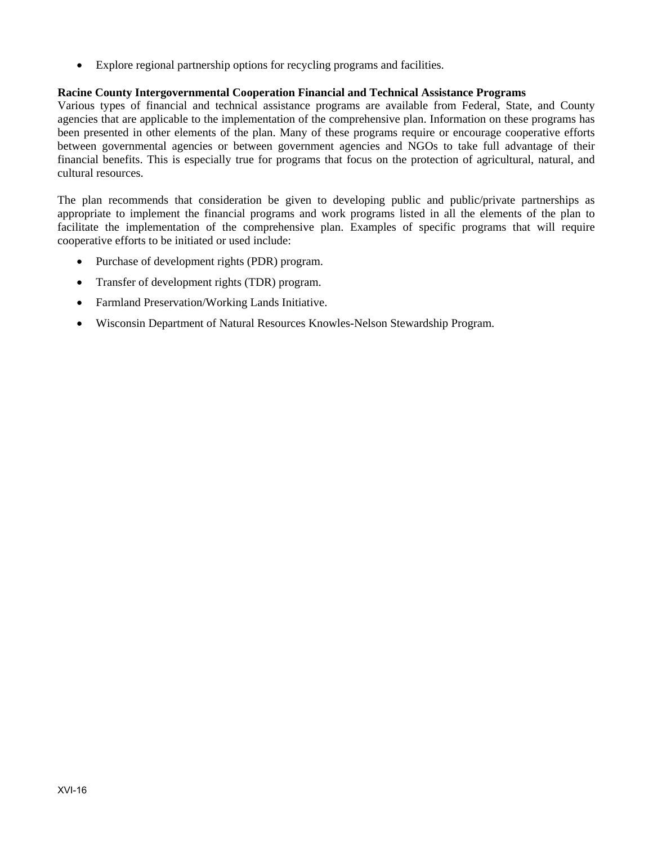Explore regional partnership options for recycling programs and facilities.

#### **Racine County Intergovernmental Cooperation Financial and Technical Assistance Programs**

Various types of financial and technical assistance programs are available from Federal, State, and County agencies that are applicable to the implementation of the comprehensive plan. Information on these programs has been presented in other elements of the plan. Many of these programs require or encourage cooperative efforts between governmental agencies or between government agencies and NGOs to take full advantage of their financial benefits. This is especially true for programs that focus on the protection of agricultural, natural, and cultural resources.

The plan recommends that consideration be given to developing public and public/private partnerships as appropriate to implement the financial programs and work programs listed in all the elements of the plan to facilitate the implementation of the comprehensive plan. Examples of specific programs that will require cooperative efforts to be initiated or used include:

- Purchase of development rights (PDR) program.
- Transfer of development rights (TDR) program.
- Farmland Preservation/Working Lands Initiative.
- Wisconsin Department of Natural Resources Knowles-Nelson Stewardship Program.